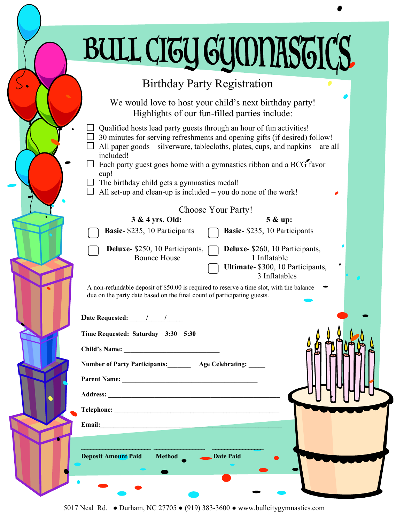# BULL CITY GYMNASTICS

### Birthday Party Registration

We would love to host your child's next birthday party! Highlights of our fun-filled parties include:

- $\Box$  Qualified hosts lead party guests through an hour of fun activities!
- $\Box$  30 minutes for serving refreshments and opening gifts (if desired) follow!
- $\Box$  All paper goods silverware, tablecloths, plates, cups, and napkins are all included!
- $\Box$  Each party guest goes home with a gymnastics ribbon and a BCG favor cup!
- $\Box$  The birthday child gets a gymnastics medal!
- $\Box$  All set-up and clean-up is included you do none of the work!

### Choose Your Party!

| 3 & 4 yrs. Old:               | 5 & up:                                                                         |  |
|-------------------------------|---------------------------------------------------------------------------------|--|
| Basic- \$235, 10 Participants | Basic- \$235, 10 Participants                                                   |  |
| <b>Bounce House</b>           | Deluxe- \$250, 10 Participants, Deluxe- \$260, 10 Participants,<br>1 Inflatable |  |
|                               | Ultimate- \$300, 10 Participants,<br>3 Inflatables                              |  |
|                               |                                                                                 |  |

A non-refundable deposit of \$50.00 is required to reserve a time slot, with the balance due on the party date based on the final count of participating guests.

| Date Requested: |  |
|-----------------|--|

| Time Requested: Saturday 3:30 5:30 |  |  |  |
|------------------------------------|--|--|--|
|------------------------------------|--|--|--|

**Child's Name: \_\_\_\_\_\_\_\_\_\_\_\_\_\_\_\_\_\_\_\_\_\_\_\_\_\_\_\_\_** 

**Number of Party Participants:\_\_\_\_\_\_\_ Age Celebrating: \_\_\_\_\_**

\_\_\_\_\_\_\_\_\_\_\_\_\_\_\_\_\_\_\_\_\_\_\_ \_\_\_\_\_\_\_\_\_\_\_\_\_\_\_\_\_ \_\_\_\_\_\_\_\_\_\_\_\_\_\_\_\_\_

**Deposit Amount Paid Method Date Paid** 

**Parent Name:** 

**Telephone: \_\_\_\_\_\_\_\_\_\_\_\_\_\_\_\_\_\_\_\_\_\_\_\_\_\_\_\_\_\_\_\_\_\_\_\_\_\_\_\_\_\_\_\_\_\_\_\_\_\_** 

**Email:\_\_\_\_\_\_\_\_\_\_\_\_\_\_\_\_\_\_\_\_\_\_\_\_\_\_\_\_\_\_\_\_\_\_\_\_\_\_\_\_\_\_\_\_\_\_\_\_\_\_\_\_\_\_\_**

**Address: \_\_\_\_\_\_\_\_\_\_\_\_\_\_\_\_\_\_\_\_\_\_\_\_\_\_\_\_\_\_\_\_\_\_\_\_\_\_\_\_\_\_\_\_\_\_\_\_\_\_\_\_** 

5017 Neal Rd. ● Durham, NC 27705 ● (919) 383-3600 ● www.bullcitygymnastics.com